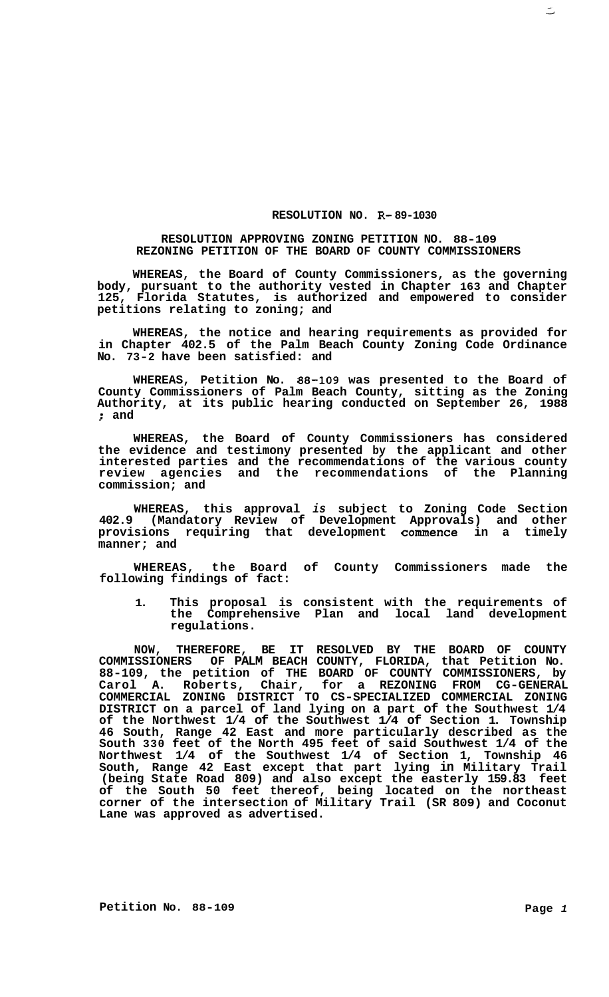## **RESOLUTION NO. R- 89-1030**

## **RESOLUTION APPROVING ZONING PETITION NO. 88-109 REZONING PETITION OF THE BOARD OF COUNTY COMMISSIONERS**

**WHEREAS, the Board of County Commissioners, as the governing body, pursuant to the authority vested in Chapter 163 and Chapter 125, Florida Statutes, is authorized and empowered to consider petitions relating to zoning; and** 

**WHEREAS, the notice and hearing requirements as provided for in Chapter 402.5 of the Palm Beach County Zoning Code Ordinance No. 73-2 have been satisfied: and** 

**WHEREAS, Petition No. 88-109 was presented to the Board of County Commissioners of Palm Beach County, sitting as the Zoning Authority, at its public hearing conducted on September 26, 1988**  ; **and** 

**WHEREAS, the Board of County Commissioners has considered the evidence and testimony presented by the applicant and other interested parties and the recommendations of the various county review agencies and the recommendations of the Planning commission; and** 

**WHEREAS, this approval** *is* **subject to Zoning Code Section 402.9 (Mandatory Review of Development Approvals) and other provisions requiring that development commence in a timely manner; and** 

**WHEREAS, the Board of County Commissioners made the following findings of fact:** 

**1. This proposal is consistent with the requirements of the Comprehensive Plan and local land development regulations.** 

**NOW, THEREFORE, BE IT RESOLVED BY THE BOARD OF COUNTY COMMISSIONERS OF PALM BEACH COUNTY, FLORIDA, that Petition No. 88-109, the petition of THE BOARD OF COUNTY COMMISSIONERS, by Carol A. Roberts, Chair, for a REZONING FROM CG-GENERAL COMMERCIAL ZONING DISTRICT TO CS-SPECIALIZED COMMERCIAL ZONING DISTRICT on a parcel of land lying on a part of the Southwest 1/4 of the Northwest 1/4 of the Southwest 1/4 of Section 1. Township 46 South, Range 42 East and more particularly described as the South 330 feet of the North 495 feet of said Southwest 1/4 of the Northwest 1/4 of the Southwest 1/4 of Section 1, Township 46 South, Range 42 East except that part lying in Military Trail (being State Road 809) and also except the easterly 159.83 feet of the South 50 feet thereof, being located on the northeast corner of the intersection of Military Trail (SR 809) and Coconut Lane was approved as advertised.** 

 $\leq$